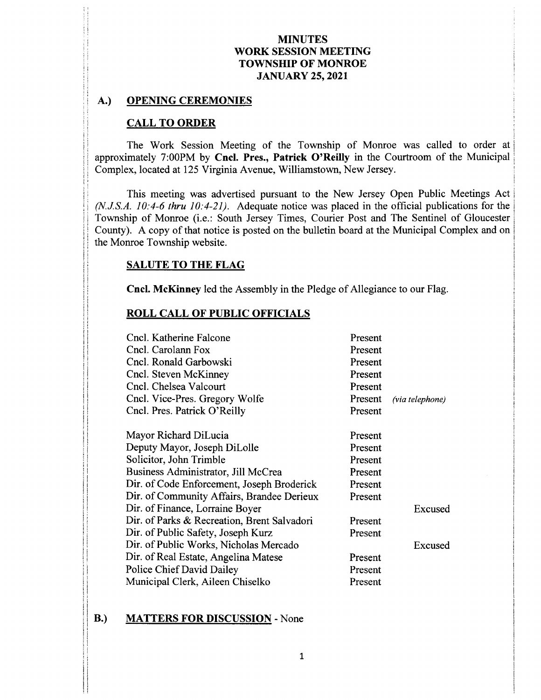## MINUTES WORK SESSION MEETING TOWNSHIP OF MONROE JANUARY 25, 2021

### A.) OPENING CEREMONIES

### CALL TO ORDER

The Work Session Meeting of the Township of Monroe was called to order at approximately 7:00PM by Cncl. Pres., Patrick O'Reilly in the Courtroom of the Municipal Complex, located at 125 Virginia Avenue, Williamstown, New Jersey.

This meeting was advertised pursuant to the New Jersey Open Public Meetings Act  $(N.J.S.A. 10: 4-6$  thru  $10: 4-21$ ). Adequate notice was placed in the official publications for the Township of Monroe (i.e.: South Jersey Times, Courier Post and The Sentinel of Gloucester County). A copy of that notice is posted on the bulletin board at the Municipal Complex and on the Monroe Township website.

### SALUTE TO THE FLAG

<sup>E</sup>

II

Cncl. McKinney led the Assembly in the Pledge of Allegiance to our Flag.

II is a strong contract to the contract of the contract of the contract of the contract of the contract of the

### ROLL CALL OF PUBLIC OFFICIALS

| Cncl. Katherine Falcone<br>Cncl. Carolann Fox<br>Cncl. Ronald Garbowski<br>Cncl. Steven McKinney<br>Cncl. Chelsea Valcourt<br>Cncl. Vice-Pres. Gregory Wolfe<br>Cncl. Pres. Patrick O'Reilly                                                                                   | Present<br>Present<br>Present<br>Present<br>Present<br>Present<br>Present | (via telephone)    |
|--------------------------------------------------------------------------------------------------------------------------------------------------------------------------------------------------------------------------------------------------------------------------------|---------------------------------------------------------------------------|--------------------|
| Mayor Richard DiLucia<br>Deputy Mayor, Joseph DiLolle<br>Solicitor, John Trimble<br>Business Administrator, Jill McCrea<br>Dir. of Code Enforcement, Joseph Broderick<br>Dir. of Community Affairs, Brandee Derieux                                                            | Present<br>Present<br>Present<br>Present<br>Present<br>Present            |                    |
| Dir. of Finance, Lorraine Boyer<br>Dir. of Parks & Recreation, Brent Salvadori<br>Dir. of Public Safety, Joseph Kurz<br>Dir. of Public Works, Nicholas Mercado<br>Dir. of Real Estate, Angelina Matese<br><b>Police Chief David Dailey</b><br>Municipal Clerk, Aileen Chiselko | Present<br>Present<br>Present<br>Present<br>Present                       | Excused<br>Excused |

### B.) MATTERS FOR DISCUSSION - None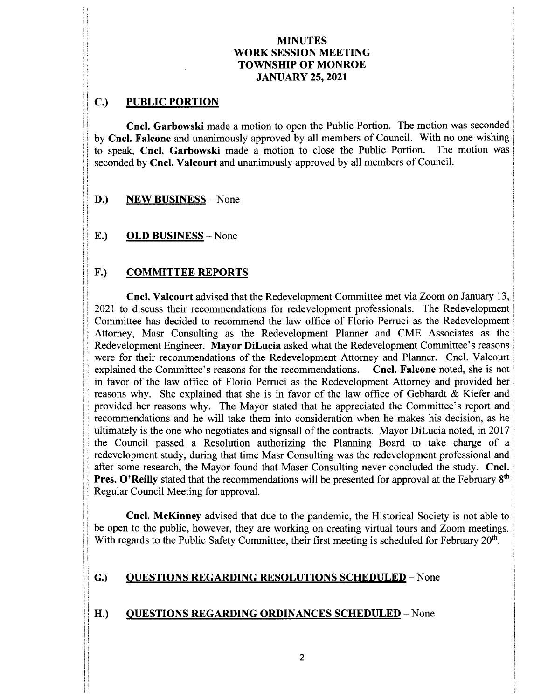### MINUTES WORK SESSION MEETING TOWNSHIP OF MONROE JANUARY 25, 2021

# C.) PUBLIC PORTION

Cncl. Garbowski made a motion to open the Public Portion. The motion was seconded by Cncl. Falcone and unanimously approved by all members of Council. With no one wishing<br>to speak. Cncl. Garbowski made a motion to close the Public Portion. The motion was to speak, Cncl. Garbowski made a motion to close the Public Portion. seconded by Cncl. Valcourt and unanimously approved by all members of Council.

- D.) NEW BUSINESS None
- E.) OLD BUSINESS— None

# F.) COMMITTEE REPORTS

.

s

S ` 1

Cncl. Valcourt advised that the Redevelopment Committee met via Zoom on January 13, <sup>1</sup> 2021 to discuss their recommendations for redevelopment professionals. The Redevelopment Committee has decided to recommend the law office of Florio Perruci as the Redevelopment Attorney, Masr Consulting as the Redevelopment Planner and CME Associates as the Redevelopment Engineer. Mayor DiLucia asked what the Redevelopment Committee's reasons were for their recommendations of the Redevelopment Attorney and Planner. Cncl. Valcourt explained the Committee's reasons for the recommendations. Cncl. Falcone noted, she is not explained the Committee's reasons for the recommendations. in favor of the law office of Florio Perruci as the Redevelopment Attorney and provided her reasons why. She explained that she is in favor of the law office of Gebhardt & Kiefer and provided her reasons why. The Mayor stated that he appreciated the Committee's report and recommendations and he will take them into consideration when he makes his decision, as he ultimately is the one who negotiates and signsall of the contracts. Mayor DiLucia noted, in 2017 <sup>11</sup> the Council passed <sup>a</sup> Resolution authorizing the Planning Board to take charge of <sup>a</sup> redevelopment study, during that time Masr Consulting was the redevelopment professional and after some research, the Mayor found that Maser Consulting never concluded the study. Cncl. **Pres. O'Reilly** stated that the recommendations will be presented for approval at the February 8<sup>th</sup> Regular Council Meeting for approval.

Cncl. McKinney advised that due to the pandemic, the Historical Society is not able to be open to the public, however, they are working on creating virtual tours and Zoom meetings. With regards to the Public Safety Committee, their first meeting is scheduled for February 20<sup>th</sup>.

### G.) QUESTIONS REGARDING RESOLUTIONS SCHEDULED - None

### H.) OUESTIONS REGARDING ORDINANCES SCHEDULED - None

 $\frac{1}{2}$